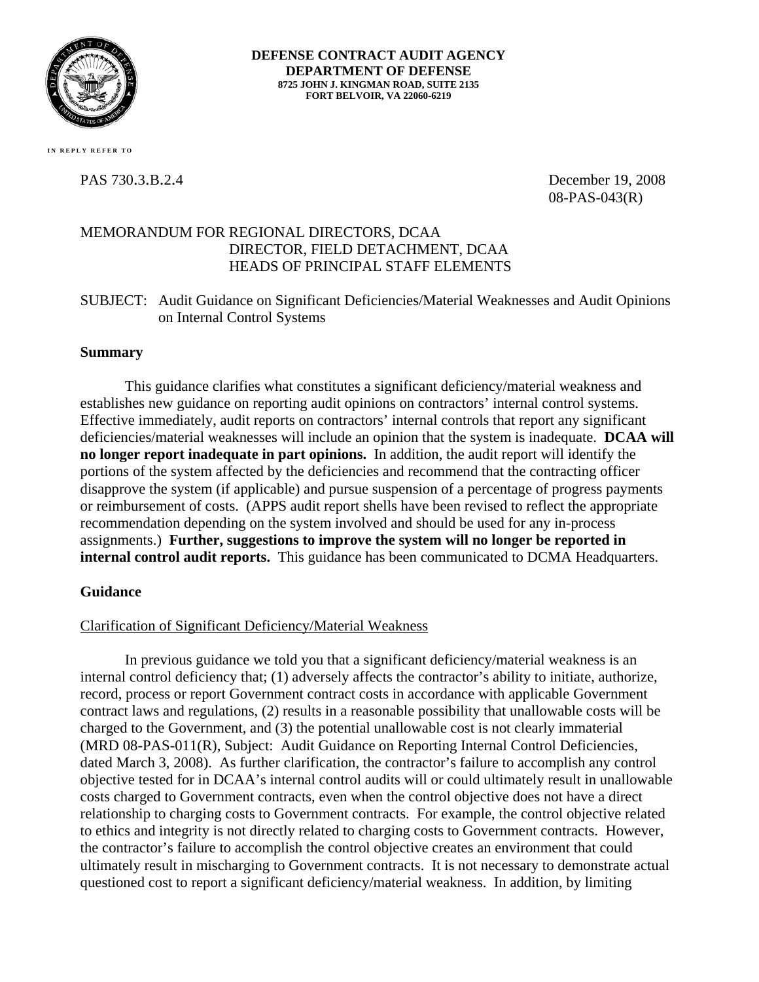

**DEFENSE CONTRACT AUDIT AGENCY DEPARTMENT OF DEFENSE 8725 JOHN J. KINGMAN ROAD, SUITE 2135 FORT BELVOIR, VA 22060-6219** 

 **I N RE PLY REF E R T O** 

PAS 730.3.B.2.4 December 19, 2008 08-PAS-043(R)

# MEMORANDUM FOR REGIONAL DIRECTORS, DCAA DIRECTOR, FIELD DETACHMENT, DCAA HEADS OF PRINCIPAL STAFF ELEMENTS

SUBJECT: Audit Guidance on Significant Deficiencies/Material Weaknesses and Audit Opinions on Internal Control Systems

### **Summary**

This guidance clarifies what constitutes a significant deficiency/material weakness and establishes new guidance on reporting audit opinions on contractors' internal control systems. Effective immediately, audit reports on contractors' internal controls that report any significant deficiencies/material weaknesses will include an opinion that the system is inadequate. **DCAA will no longer report inadequate in part opinions.** In addition, the audit report will identify the portions of the system affected by the deficiencies and recommend that the contracting officer disapprove the system (if applicable) and pursue suspension of a percentage of progress payments or reimbursement of costs. (APPS audit report shells have been revised to reflect the appropriate recommendation depending on the system involved and should be used for any in-process assignments.) **Further, suggestions to improve the system will no longer be reported in internal control audit reports.** This guidance has been communicated to DCMA Headquarters.

## **Guidance**

## Clarification of Significant Deficiency/Material Weakness

In previous guidance we told you that a significant deficiency/material weakness is an internal control deficiency that; (1) adversely affects the contractor's ability to initiate, authorize, record, process or report Government contract costs in accordance with applicable Government contract laws and regulations, (2) results in a reasonable possibility that unallowable costs will be charged to the Government, and (3) the potential unallowable cost is not clearly immaterial (MRD 08-PAS-011(R), Subject: Audit Guidance on Reporting Internal Control Deficiencies, dated March 3, 2008). As further clarification, the contractor's failure to accomplish any control objective tested for in DCAA's internal control audits will or could ultimately result in unallowable costs charged to Government contracts, even when the control objective does not have a direct relationship to charging costs to Government contracts. For example, the control objective related to ethics and integrity is not directly related to charging costs to Government contracts. However, the contractor's failure to accomplish the control objective creates an environment that could ultimately result in mischarging to Government contracts. It is not necessary to demonstrate actual questioned cost to report a significant deficiency/material weakness. In addition, by limiting